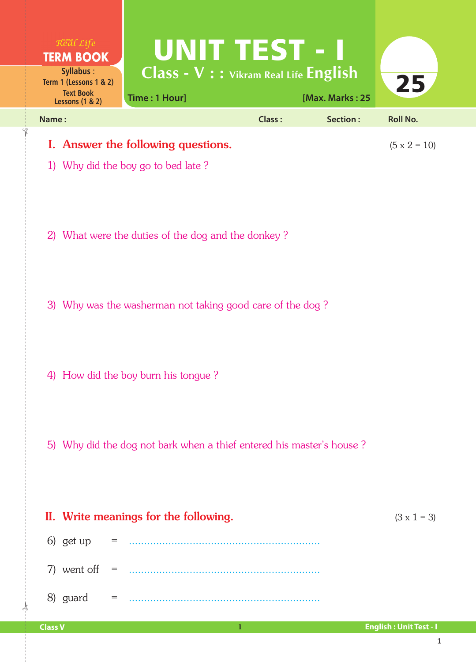| Real Life<br><b>TERM BOOK</b><br>Syllabus:                               | UNIT TEST - I<br>Class - V : : Vikram Real Life English              |               |                 |                     |
|--------------------------------------------------------------------------|----------------------------------------------------------------------|---------------|-----------------|---------------------|
| Term 1 (Lessons 1 & 2)<br><b>Text Book</b><br><b>Lessons (1 &amp; 2)</b> | Time: 1 Hour]                                                        |               | [Max. Marks: 25 | 25                  |
| Name:                                                                    |                                                                      | <b>Class:</b> | Section:        | <b>Roll No.</b>     |
|                                                                          | I. Answer the following questions.                                   |               |                 | $(5 \times 2 = 10)$ |
|                                                                          | 1) Why did the boy go to bed late?                                   |               |                 |                     |
|                                                                          | 2) What were the duties of the dog and the donkey?                   |               |                 |                     |
|                                                                          | 3) Why was the washerman not taking good care of the dog?            |               |                 |                     |
|                                                                          |                                                                      |               |                 |                     |
|                                                                          | 4) How did the boy burn his tongue?                                  |               |                 |                     |
|                                                                          | 5) Why did the dog not bark when a thief entered his master's house? |               |                 |                     |
|                                                                          | II. Write meanings for the following.                                |               |                 | $(3 \times 1 = 3)$  |
| 6) get up                                                                |                                                                      |               |                 |                     |
|                                                                          |                                                                      |               |                 |                     |
| 8) guard                                                                 |                                                                      |               |                 |                     |